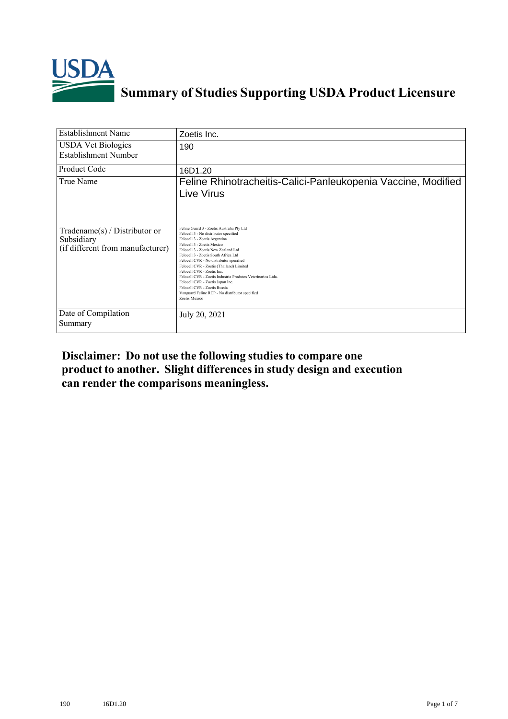

## **Summary of Studies Supporting USDA Product Licensure**

| <b>Establishment Name</b>                                                          | Zoetis Inc.                                                                                                                                                                                                                                                                                                                                                                                                                                                                                                                                                 |
|------------------------------------------------------------------------------------|-------------------------------------------------------------------------------------------------------------------------------------------------------------------------------------------------------------------------------------------------------------------------------------------------------------------------------------------------------------------------------------------------------------------------------------------------------------------------------------------------------------------------------------------------------------|
| <b>USDA Vet Biologics</b><br>Establishment Number                                  | 190                                                                                                                                                                                                                                                                                                                                                                                                                                                                                                                                                         |
| <b>Product Code</b>                                                                | 16D1.20                                                                                                                                                                                                                                                                                                                                                                                                                                                                                                                                                     |
| True Name                                                                          | Feline Rhinotracheitis-Calici-Panleukopenia Vaccine, Modified<br>Live Virus                                                                                                                                                                                                                                                                                                                                                                                                                                                                                 |
| Tradename $(s)$ / Distributor or<br>Subsidiary<br>(if different from manufacturer) | Feline Guard 3 - Zoetis Australia Pty Ltd<br>Felocell 3 - No distributor specified<br>Felocell 3 - Zoetis Argentina<br>Felocell 3 - Zoetis Mexico<br>Felocell 3 - Zoetis New Zealand Ltd<br>Felocell 3 - Zoetis South Africa Ltd<br>Felocell CVR - No distributor specified<br>Felocell CVR - Zoetis (Thailand) Limited<br>Felocell CVR - Zoetis Inc.<br>Felocell CVR - Zoetis Industria Produtos Veterinarios Ltda.<br>Felocell CVR - Zoetis Japan Inc.<br>Felocell CVR - Zoetis Russia<br>Vanguard Feline RCP - No distributor specified<br>Zoetis Mexico |
| Date of Compilation<br>Summary                                                     | July 20, 2021                                                                                                                                                                                                                                                                                                                                                                                                                                                                                                                                               |

## **Disclaimer: Do not use the following studiesto compare one product to another. Slight differencesin study design and execution can render the comparisons meaningless.**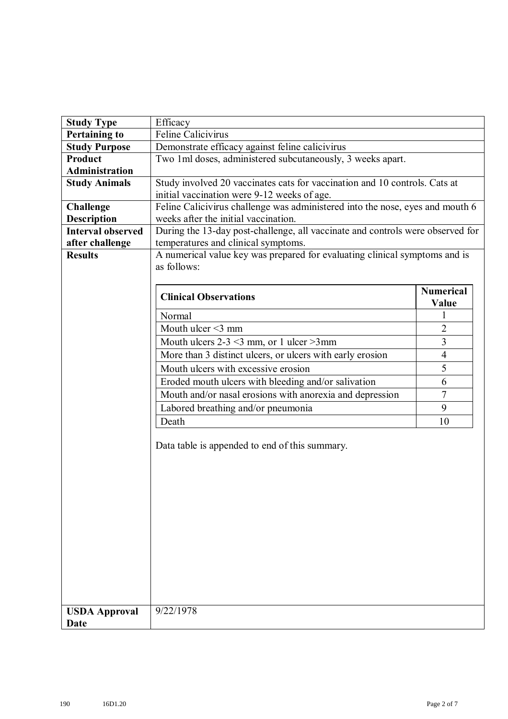| <b>Study Type</b>                   | Efficacy                                                                                                              |                           |
|-------------------------------------|-----------------------------------------------------------------------------------------------------------------------|---------------------------|
| <b>Pertaining to</b>                | <b>Feline Calicivirus</b>                                                                                             |                           |
| <b>Study Purpose</b>                | Demonstrate efficacy against feline calicivirus                                                                       |                           |
| <b>Product</b>                      | Two 1ml doses, administered subcutaneously, 3 weeks apart.                                                            |                           |
| <b>Administration</b>               |                                                                                                                       |                           |
| <b>Study Animals</b>                | Study involved 20 vaccinates cats for vaccination and 10 controls. Cats at                                            |                           |
|                                     | initial vaccination were 9-12 weeks of age.                                                                           |                           |
| <b>Challenge</b>                    | Feline Calicivirus challenge was administered into the nose, eyes and mouth 6                                         |                           |
| <b>Description</b>                  | weeks after the initial vaccination.                                                                                  |                           |
| <b>Interval observed</b>            | During the 13-day post-challenge, all vaccinate and controls were observed for<br>temperatures and clinical symptoms. |                           |
| after challenge                     | A numerical value key was prepared for evaluating clinical symptoms and is                                            |                           |
| <b>Results</b>                      | as follows:                                                                                                           |                           |
|                                     | <b>Clinical Observations</b>                                                                                          | <b>Numerical</b><br>Value |
|                                     | Normal                                                                                                                |                           |
|                                     | Mouth ulcer $\leq$ 3 mm                                                                                               | $\overline{2}$            |
|                                     | Mouth ulcers $2-3 \leq 3$ mm, or 1 ulcer $>3$ mm                                                                      | 3                         |
|                                     | More than 3 distinct ulcers, or ulcers with early erosion                                                             | $\overline{4}$            |
|                                     | Mouth ulcers with excessive erosion                                                                                   | 5                         |
|                                     | Eroded mouth ulcers with bleeding and/or salivation                                                                   | 6                         |
|                                     | Mouth and/or nasal erosions with anorexia and depression                                                              | $\overline{7}$            |
|                                     | Labored breathing and/or pneumonia                                                                                    | 9                         |
|                                     | Death                                                                                                                 | 10                        |
|                                     | Data table is appended to end of this summary.                                                                        |                           |
| <b>USDA Approval</b><br><b>Date</b> | 9/22/1978                                                                                                             |                           |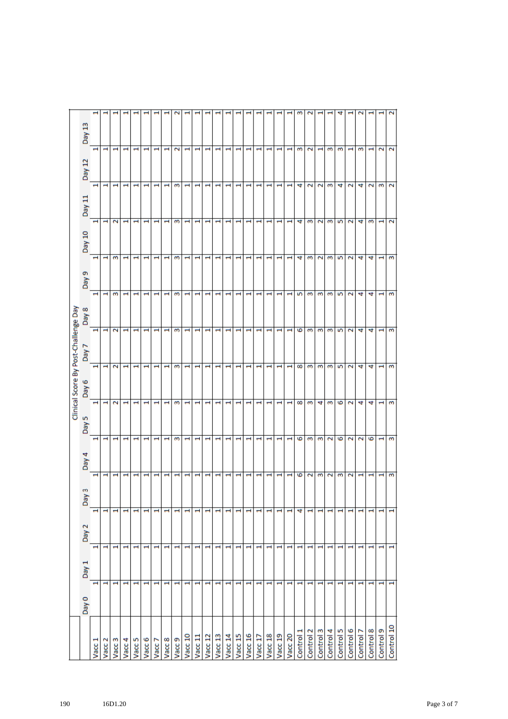|                   |                          |                          |                          |                          |       |                          |                          | Clinical Score By Post-Challenge Day                 |       |                                                      |        |                                                      |                          |                                                  |
|-------------------|--------------------------|--------------------------|--------------------------|--------------------------|-------|--------------------------|--------------------------|------------------------------------------------------|-------|------------------------------------------------------|--------|------------------------------------------------------|--------------------------|--------------------------------------------------|
|                   | Day 0                    | Day 1                    | Day 2                    | Day 3                    | Day 4 | Day <sub>5</sub>         | Day 6                    | L Aeg                                                | Day 8 | Day 9                                                | Day 10 | Day 11                                               | Day 12                   | Day 13                                           |
| Vacc 1            | H                        | $\blacksquare$           | H                        |                          | τ     | $\mathbf{\mathbf{H}}$    | $\overline{\phantom{0}}$ | ÷<br>$\overline{\phantom{0}}$                        |       | $\overline{\phantom{0}}$<br>$\overline{\phantom{0}}$ |        | H<br>$\overline{\phantom{0}}$                        |                          | $\overline{\phantom{0}}$                         |
| Vacc 2            | ÷                        | $\mathbf -$              | $\overline{\phantom{0}}$ | $\blacksquare$           |       | $\mathbf -$              | ÷                        | $\overline{\phantom{0}}$<br>$\overline{\phantom{0}}$ |       | $\overline{\phantom{0}}$<br>$\mathbf -$              |        | ÷                                                    | $\blacksquare$           | $\mathbf -$                                      |
| Vacc 3            | H                        | $\mathbf{\mathbf{H}}$    | ÷                        | Н                        |       | H                        | 2                        | $\overline{\mathbf{c}}$<br>$\overline{\mathbf{c}}$   |       | m<br>3                                               |        | $\overline{\mathbf{c}}$                              | $\overline{\phantom{0}}$ | $\mathord{\text{--}}$                            |
| Vacc 4            | ÷                        | H                        | ÷                        | H                        |       | H                        | H                        | -                                                    |       | H<br>H                                               |        | H                                                    | $\overline{\phantom{0}}$ | H                                                |
| Vacc 5            | H                        | ÷                        | $\overline{\phantom{0}}$ | H                        |       | H                        | H                        | H                                                    |       | H<br>$\mathbf -$                                     |        | H<br>ᆸ                                               |                          | H                                                |
| Vacc 6            | H                        | H                        | 1                        | H                        |       | ÷                        | ÷                        | H<br>$\overline{\phantom{0}}$                        |       | $\overline{\phantom{0}}$<br>H                        |        | $\overline{\phantom{0}}$<br>$\overline{\phantom{0}}$ |                          | $\overline{\phantom{0}}$                         |
| Vacc <sub>7</sub> | H                        | H                        | ÷                        | H                        |       | H                        | H                        | H                                                    |       | $\overline{\phantom{0}}$<br>H                        |        | H<br>H                                               |                          | H                                                |
| Vacc 8            | н                        | 1                        | H                        | H                        |       | H                        | H                        | ÷<br>÷                                               |       | H<br>H                                               |        | H<br>H                                               |                          | H                                                |
| Vacc <sub>9</sub> | H                        | $\overline{\phantom{0}}$ | 1                        | H                        |       | 3                        | 3                        | 3<br>S                                               |       | S<br>3                                               |        | S<br>S                                               |                          | $\mathbf{\tilde{c}}$                             |
| Vacc 10           | H                        | H                        | ÷                        | H                        |       | H                        | H                        | H                                                    |       | $\overline{\phantom{0}}$<br>÷                        |        | H<br>÷                                               |                          | H                                                |
| Vacc 11           | H                        | H                        | $\mathbf -$              | H                        |       | H                        | H                        | H<br>÷                                               |       | $\mathbf -$<br>H                                     |        | H<br>H                                               |                          | H                                                |
| Vacc 12           | $\overline{\phantom{0}}$ | 1                        | $\overline{\phantom{0}}$ | $\overline{\phantom{0}}$ |       | H                        | ÷                        | H<br>H                                               |       | $\overline{\phantom{0}}$<br>$\overline{\phantom{0}}$ |        | $\blacksquare$<br>H                                  |                          | $\overline{\phantom{0}}$                         |
| Vacc 13           | H                        | H                        | $\overline{\phantom{0}}$ | H                        |       | H                        | H                        | H                                                    |       | H<br>H                                               |        | H<br>H                                               |                          | $\mathbf{\mathbf{H}}$                            |
| Vacc 14           | H                        | ÷                        | H                        | H                        |       | H                        | H                        | H<br>H                                               |       | $\overline{\phantom{0}}$<br>H                        |        | $\mathbf \blacksquare$<br>H                          |                          | H                                                |
| Vacc 15           | $\overline{\phantom{0}}$ | H                        | ÷                        | H                        |       | H                        | H                        | H<br>H                                               |       | H<br>H                                               |        | H<br>H                                               |                          | H                                                |
| Vacc 16           | H                        | 1                        | $\mathbf{\mathbf{H}}$    | H                        |       | H                        | $\blacksquare$           | H<br>H                                               |       | $\overline{\phantom{0}}$<br>1                        |        | H<br>-                                               |                          | H                                                |
| Vacc 17           | H                        | H                        | $\overline{\phantom{0}}$ | H                        |       | H                        | ÷                        | H<br>H                                               |       | H                                                    |        | $\overline{\phantom{0}}$                             | $\blacksquare$           | $\mathbf{\mathbf{H}}$                            |
| Vacc 18           | $\blacksquare$           | H                        | ÷                        | H                        |       | H                        | H                        | ÷<br>÷                                               |       | H<br>H                                               |        | H<br>H                                               |                          | H                                                |
| Vacc 19           | H                        | 1                        | $\overline{\phantom{0}}$ | H                        |       | $\overline{\phantom{0}}$ | $\overline{\phantom{0}}$ | $\overline{\phantom{0}}$<br>$\overline{\phantom{0}}$ |       | $\overline{\phantom{0}}$<br>$\overline{\phantom{0}}$ |        | ÷                                                    | $\overline{\phantom{0}}$ | $\overline{\phantom{0}}$                         |
| Vacc 20           | H                        | H                        | ÷                        | H                        |       |                          | ÷                        | H                                                    |       | H<br>÷                                               |        | $\overline{\phantom{0}}$<br>H                        |                          | $\overline{\phantom{0}}$                         |
| Control 1         | H                        | H                        | 4                        | G                        |       | G                        | 8                        | ه<br>8                                               |       | 4<br>5                                               |        | 4<br>4                                               |                          | m<br>S                                           |
| Control 2         | H                        | $\mathbf{\mathbf{H}}$    | $\overline{\phantom{0}}$ | $\overline{\mathbf{c}}$  |       | S                        | m                        | S<br>m                                               |       | S<br>S                                               |        | $\overline{\mathbf{c}}$<br>S                         |                          | $\tilde{\phantom{0}}$<br>$\overline{\mathbf{c}}$ |
| Control 3         | H                        | H                        | ÷                        | m                        |       | m                        | 4                        | m<br>m                                               |       | $\overline{\mathbf{c}}$<br>3                         |        | $\mathbf{\tilde{c}}$<br>$\overline{\mathbf{c}}$      |                          |                                                  |
| Control 4         | H                        | $\mathbf -$              | 1                        | $\overline{\mathbf{c}}$  |       | $\overline{\mathsf{c}}$  | m                        | m<br>m                                               |       | m<br>3                                               |        | m<br>3                                               |                          | 3                                                |
| Control 5         | $\overline{\phantom{0}}$ | $\mathbf -$              | ÷                        | S                        |       | ه                        | 6                        | 5<br>5                                               |       | 5<br>5                                               |        | 4<br>5                                               |                          | 4<br>S                                           |
| Control 6         | H                        | $\mathbf{\mathbf{I}}$    | $\overline{\phantom{0}}$ | $\tilde{\phantom{0}}$    |       | $\mathbf{\tilde{c}}$     | $\overline{\mathbf{c}}$  | $\mathbf{\tilde{c}}$<br>$\overline{\phantom{1}}$     |       | $\overline{\mathbf{c}}$<br>$\mathbf{\tilde{c}}$      |        | $\mathbf{\tilde{c}}$<br>$\overline{\mathbf{c}}$      |                          | $\mathbf -$                                      |
| Control 7         | H                        | $\mathbf{\mathbf{t}}$    | $\mathord{\text{--}}$    | H                        |       | $\overline{\mathsf{c}}$  | 4                        | 4<br>4                                               |       | 4<br>4                                               |        | 4<br>4                                               |                          | $\scriptstyle\sim$<br>3                          |
| Control 8         | H                        | 1                        | ÷                        | H                        |       | ه                        | 4                        | 4<br>4                                               |       | 4<br>4                                               |        | $\mathbf{\tilde{c}}$<br>S                            |                          | H                                                |
| Control 9         | $\overline{\phantom{0}}$ | $\overline{\phantom{0}}$ | 1                        | 1                        |       | $\mathbf -$              | ÷                        | ÷<br>1                                               |       | $\overline{\phantom{0}}$<br>÷                        |        | S<br>-                                               |                          | $\mathbf{\tilde{c}}$                             |
| Control 10        | H                        | H                        | $\overline{\phantom{0}}$ | 3                        |       | 3                        | 3                        | 3<br>3                                               |       | S<br>3                                               |        | $\overline{\mathbf{c}}$<br>2                         |                          | 2<br>2                                           |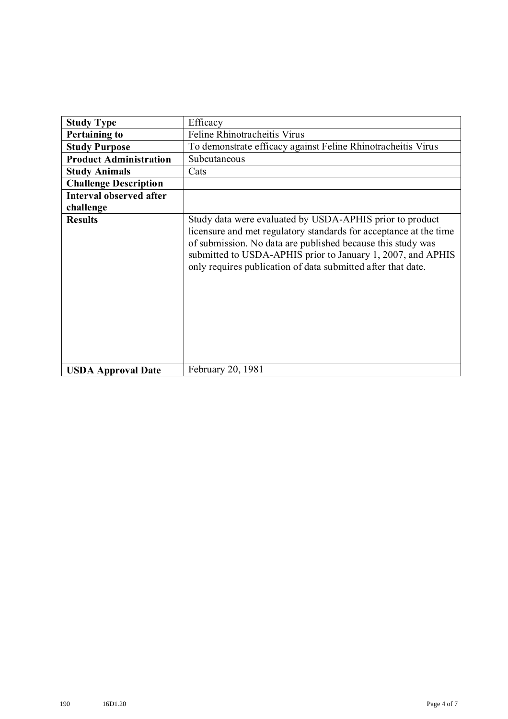| <b>Study Type</b>              | Efficacy                                                                                                                                                                                                                                                                                                                    |
|--------------------------------|-----------------------------------------------------------------------------------------------------------------------------------------------------------------------------------------------------------------------------------------------------------------------------------------------------------------------------|
| <b>Pertaining to</b>           | Feline Rhinotracheitis Virus                                                                                                                                                                                                                                                                                                |
| <b>Study Purpose</b>           | To demonstrate efficacy against Feline Rhinotracheitis Virus                                                                                                                                                                                                                                                                |
| <b>Product Administration</b>  | Subcutaneous                                                                                                                                                                                                                                                                                                                |
| <b>Study Animals</b>           | Cats                                                                                                                                                                                                                                                                                                                        |
| <b>Challenge Description</b>   |                                                                                                                                                                                                                                                                                                                             |
| <b>Interval observed after</b> |                                                                                                                                                                                                                                                                                                                             |
| challenge                      |                                                                                                                                                                                                                                                                                                                             |
| <b>Results</b>                 | Study data were evaluated by USDA-APHIS prior to product<br>licensure and met regulatory standards for acceptance at the time<br>of submission. No data are published because this study was<br>submitted to USDA-APHIS prior to January 1, 2007, and APHIS<br>only requires publication of data submitted after that date. |
| <b>USDA Approval Date</b>      | February 20, 1981                                                                                                                                                                                                                                                                                                           |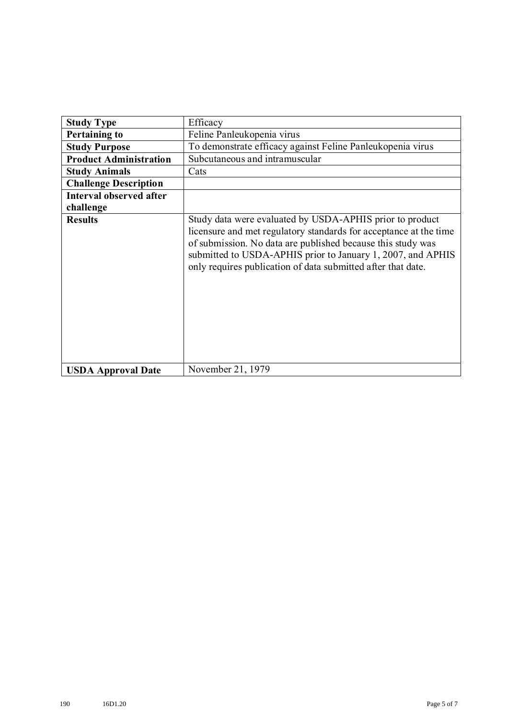| <b>Study Type</b>             | Efficacy                                                                                                                                                                                                                                                                                                                    |
|-------------------------------|-----------------------------------------------------------------------------------------------------------------------------------------------------------------------------------------------------------------------------------------------------------------------------------------------------------------------------|
| <b>Pertaining to</b>          | Feline Panleukopenia virus                                                                                                                                                                                                                                                                                                  |
| <b>Study Purpose</b>          | To demonstrate efficacy against Feline Panleukopenia virus                                                                                                                                                                                                                                                                  |
| <b>Product Administration</b> | Subcutaneous and intramuscular                                                                                                                                                                                                                                                                                              |
| <b>Study Animals</b>          | Cats                                                                                                                                                                                                                                                                                                                        |
| <b>Challenge Description</b>  |                                                                                                                                                                                                                                                                                                                             |
| Interval observed after       |                                                                                                                                                                                                                                                                                                                             |
| challenge                     |                                                                                                                                                                                                                                                                                                                             |
| <b>Results</b>                | Study data were evaluated by USDA-APHIS prior to product<br>licensure and met regulatory standards for acceptance at the time<br>of submission. No data are published because this study was<br>submitted to USDA-APHIS prior to January 1, 2007, and APHIS<br>only requires publication of data submitted after that date. |
| <b>USDA Approval Date</b>     | November 21, 1979                                                                                                                                                                                                                                                                                                           |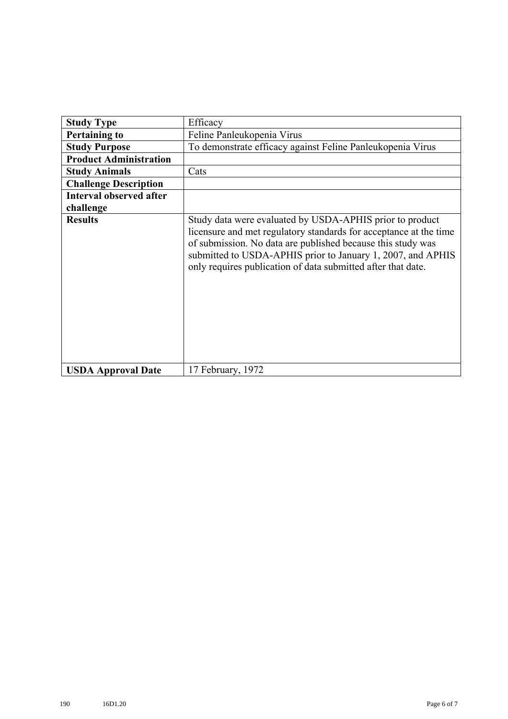| <b>Study Type</b>              | Efficacy                                                                                                                                                                                                                                                                                                                    |
|--------------------------------|-----------------------------------------------------------------------------------------------------------------------------------------------------------------------------------------------------------------------------------------------------------------------------------------------------------------------------|
| <b>Pertaining to</b>           | Feline Panleukopenia Virus                                                                                                                                                                                                                                                                                                  |
| <b>Study Purpose</b>           | To demonstrate efficacy against Feline Panleukopenia Virus                                                                                                                                                                                                                                                                  |
| <b>Product Administration</b>  |                                                                                                                                                                                                                                                                                                                             |
| <b>Study Animals</b>           | Cats                                                                                                                                                                                                                                                                                                                        |
| <b>Challenge Description</b>   |                                                                                                                                                                                                                                                                                                                             |
| <b>Interval observed after</b> |                                                                                                                                                                                                                                                                                                                             |
| challenge                      |                                                                                                                                                                                                                                                                                                                             |
| <b>Results</b>                 | Study data were evaluated by USDA-APHIS prior to product<br>licensure and met regulatory standards for acceptance at the time<br>of submission. No data are published because this study was<br>submitted to USDA-APHIS prior to January 1, 2007, and APHIS<br>only requires publication of data submitted after that date. |
| <b>USDA Approval Date</b>      | 17 February, 1972                                                                                                                                                                                                                                                                                                           |